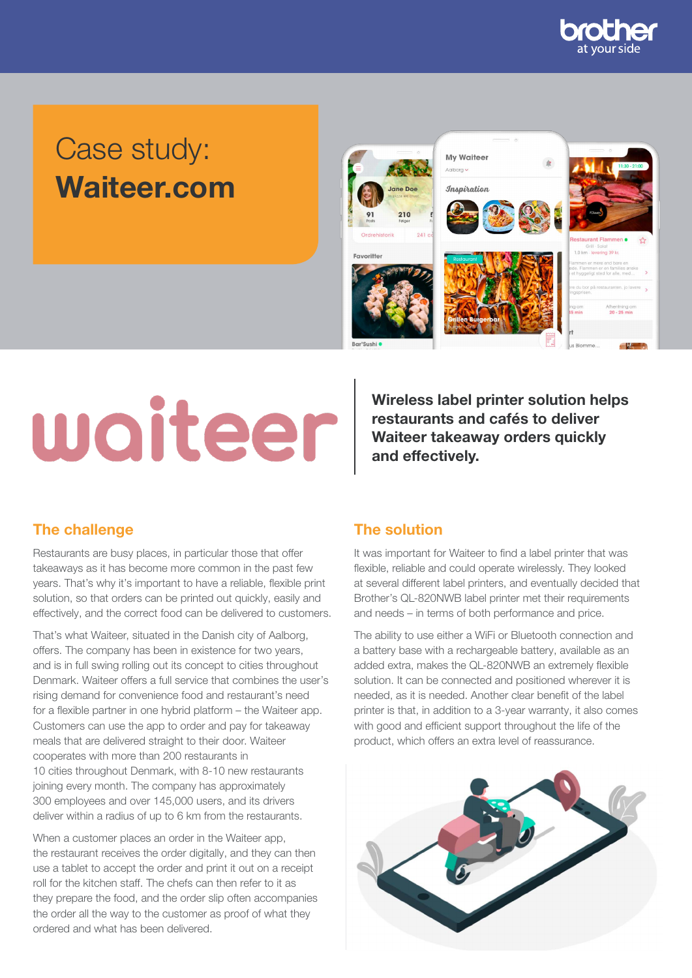

## Case study: Waiteer.com



# waiteer

Wireless label printer solution helps restaurants and cafés to deliver Waiteer takeaway orders quickly and effectively.

## The challenge The solution

Restaurants are busy places, in particular those that offer takeaways as it has become more common in the past few years. That's why it's important to have a reliable, flexible print solution, so that orders can be printed out quickly, easily and effectively, and the correct food can be delivered to customers.

That's what Waiteer, situated in the Danish city of Aalborg, offers. The company has been in existence for two years, and is in full swing rolling out its concept to cities throughout Denmark. Waiteer offers a full service that combines the user's rising demand for convenience food and restaurant's need for a flexible partner in one hybrid platform – the Waiteer app. Customers can use the app to order and pay for takeaway meals that are delivered straight to their door. Waiteer cooperates with more than 200 restaurants in 10 cities throughout Denmark, with 8-10 new restaurants joining every month. The company has approximately 300 employees and over 145,000 users, and its drivers deliver within a radius of up to 6 km from the restaurants.

When a customer places an order in the Waiteer app, the restaurant receives the order digitally, and they can then use a tablet to accept the order and print it out on a receipt roll for the kitchen staff. The chefs can then refer to it as they prepare the food, and the order slip often accompanies the order all the way to the customer as proof of what they ordered and what has been delivered.

It was important for Waiteer to find a label printer that was flexible, reliable and could operate wirelessly. They looked at several different label printers, and eventually decided that Brother's QL-820NWB label printer met their requirements and needs – in terms of both performance and price.

The ability to use either a WiFi or Bluetooth connection and a battery base with a rechargeable battery, available as an added extra, makes the QL-820NWB an extremely flexible solution. It can be connected and positioned wherever it is needed, as it is needed. Another clear benefit of the label printer is that, in addition to a 3-year warranty, it also comes with good and efficient support throughout the life of the product, which offers an extra level of reassurance.